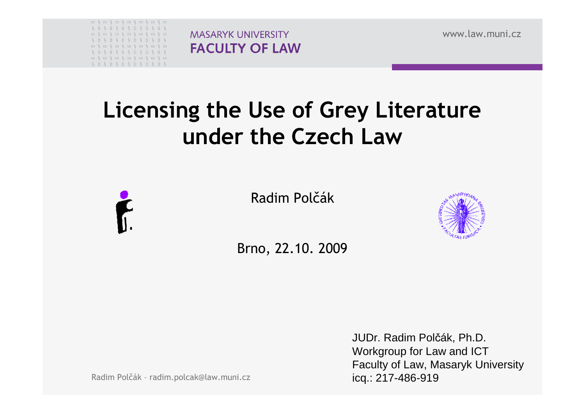

É.

**MASARYK UNIVERSITY FACULTY OF LAW**  www.law.muni.cz

# Licensing the Use of Grey Literature under the Czech Law

Radim Polčák



Brno, 22.10. 2009

JUDr. Radim Polčák, Ph.D.Workgroup for Law and ICT Faculty of Law, Masaryk Universityicq.: 217-486-919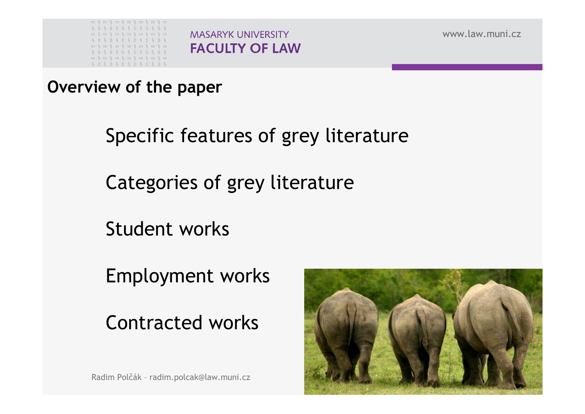

www.law.muni.cz

Overview of the paper

Specific features of grey literature

Categories of grey literature

**MASARYK UNIVERSITY** 

**FACULTY OF LAW** 

Student works

Employment works

Contracted works

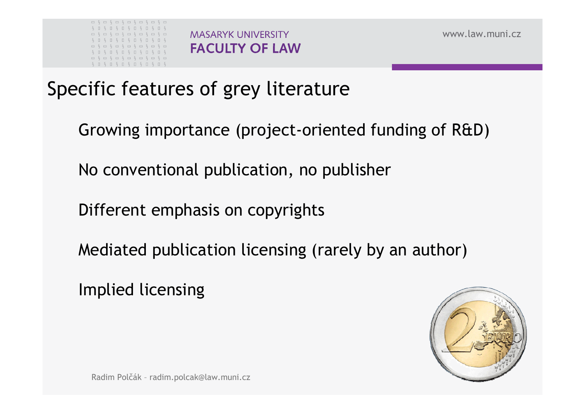

www.law.muni.cz

### Specific features of grey literature

Growing importance (project-oriented funding of R&D)

No conventional publication, no publisher

Different emphasis on copyrights

Mediated publication licensing (rarely by an author)

Implied licensing

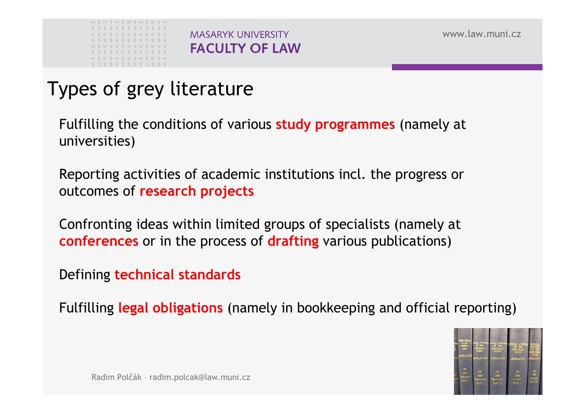



## Types of grey literature

Fulfilling the conditions of various **study programmes** (namely at universities)

**MASARYK UNIVERSITY** 

**FACULTY OF LAW** 

Reporting activities of academic institutions incl. the progress or outcomes of research projects

Confronting ideas within limited groups of specialists (namely at **conferences** or in the process of **drafting** various publications)

Defining technical standards

Fulfilling legal obligations (namely in bookkeeping and official reporting)

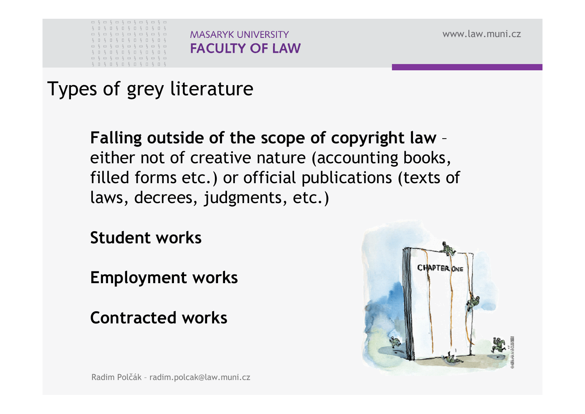

www.law.muni.cz

Types of grey literature

Falling outside of the scope of copyright law –either not of creative nature (accounting books, filled forms etc.) or official publications (texts of laws, decrees, judgments, etc.)

Student works

Employment works

Contracted works

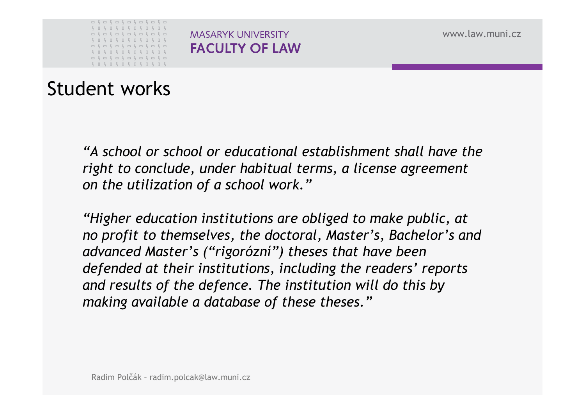

www.law.muni.cz

### Student works

"A school or school or educational establishment shall have the right to conclude, under habitual terms, a license agreement on the utilization of a school work."

"Higher education institutions are obliged to make public, at no profit to themselves, the doctoral, Master's, Bachelor's and advanced Master's ("rigorózní") theses that have been defended at their institutions, including the readers' reports and results of the defence. The institution will do this by making available a database of these theses."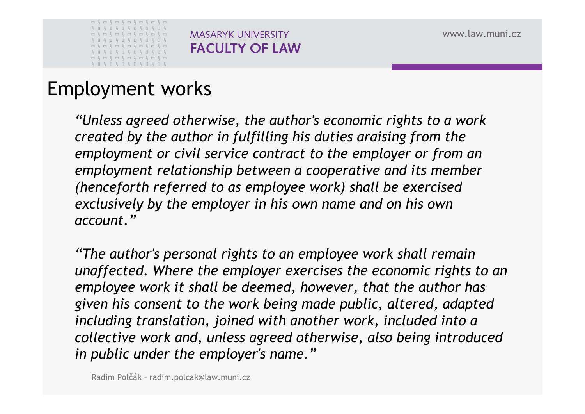

## Employment works

"Unless agreed otherwise, the author's economic rights to a work created by the author in fulfilling his duties araising from the employment or civil service contract to the employer or from an employment relationship between a cooperative and its member (henceforth referred to as employee work) shall be exercised exclusively by the employer in his own name and on his own account."

"The author's personal rights to an employee work shall remain unaffected. Where the employer exercises the economic rights to an employee work it shall be deemed, however, that the author has given his consent to the work being made public, altered, adapted including translation, joined with another work, included into a collective work and, unless agreed otherwise, also being introduced in public under the employer's name."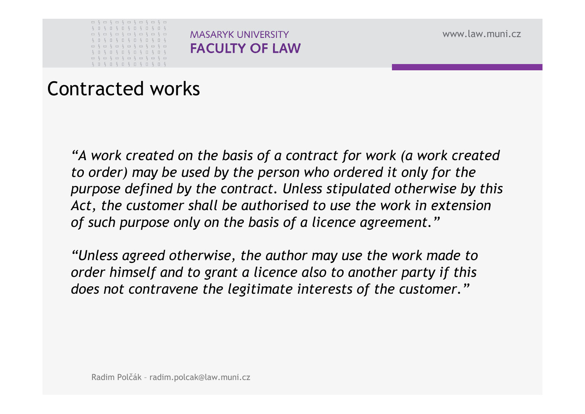|  | $S \cup S \cup$                                           |  | $S \quad S \quad S \quad S \quad S \quad S \quad D$ |  | S | $\Box$ | S |  |
|--|-----------------------------------------------------------|--|-----------------------------------------------------|--|---|--------|---|--|
|  |                                                           |  |                                                     |  |   |        |   |  |
|  | $S \sqcup S \sqcup S \sqcup S \sqcup S \sqcup S \sqcup S$ |  |                                                     |  |   |        |   |  |
|  |                                                           |  |                                                     |  |   |        |   |  |
|  |                                                           |  |                                                     |  |   |        |   |  |
|  | $S \sqcup S \sqcup S \sqcup S \sqcup S \sqcup S \sqcup S$ |  |                                                     |  |   |        |   |  |
|  | ----------------                                          |  |                                                     |  |   |        |   |  |

www.law.muni.cz

### Contracted works

"A work created on the basis of a contract for work (a work created to order) may be used by the person who ordered it only for the purpose defined by the contract. Unless stipulated otherwise by this Act, the customer shall be authorised to use the work in extension of such purpose only on the basis of a licence agreement."

**MASARYK UNIVERSITY** 

**FACULTY OF LAW** 

"Unless agreed otherwise, the author may use the work made to order himself and to grant a licence also to another party if this does not contravene the legitimate interests of the customer."